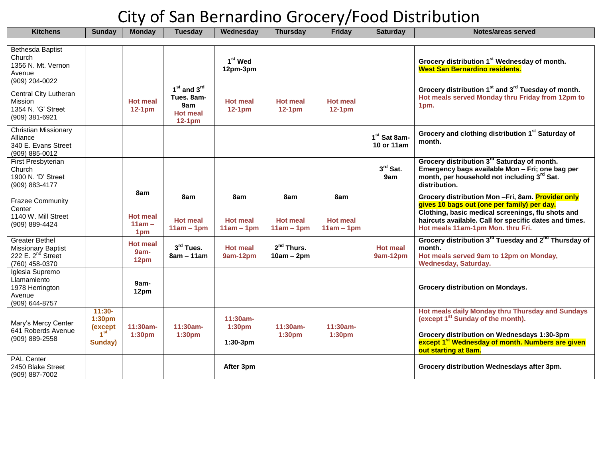| <b>Kitchens</b>                                                                                | <b>Sunday</b>                                                                           | <b>Monday</b>                             | Tuesdav                                                             | Wednesday                              | <b>Thursday</b>                        | . .<br>Friday                          | <b>Saturday</b>                        | Notes/areas served                                                                                                                                                                                                                                  |
|------------------------------------------------------------------------------------------------|-----------------------------------------------------------------------------------------|-------------------------------------------|---------------------------------------------------------------------|----------------------------------------|----------------------------------------|----------------------------------------|----------------------------------------|-----------------------------------------------------------------------------------------------------------------------------------------------------------------------------------------------------------------------------------------------------|
|                                                                                                |                                                                                         |                                           |                                                                     |                                        |                                        |                                        |                                        |                                                                                                                                                                                                                                                     |
| Bethesda Baptist<br>Church<br>1356 N. Mt. Vernon<br>Avenue<br>(909) 204-0022                   |                                                                                         |                                           |                                                                     | 1 <sup>st</sup> Wed<br>12pm-3pm        |                                        |                                        |                                        | Grocery distribution 1 <sup>st</sup> Wednesday of month.<br><b>West San Bernardino residents.</b>                                                                                                                                                   |
| Central City Lutheran<br>Mission<br>1354 N. 'G' Street<br>(909) 381-6921                       |                                                                                         | <b>Hot meal</b><br>$12-1pm$               | $1st$ and $3rd$<br>Tues. 8am-<br>9am<br><b>Hot meal</b><br>$12-1pm$ | <b>Hot meal</b><br>$12-1pm$            | <b>Hot meal</b><br>$12-1pm$            | <b>Hot meal</b><br>$12-1pm$            |                                        | Grocery distribution 1 <sup>st</sup> and 3 <sup>rd</sup> Tuesday of month.<br>Hot meals served Monday thru Friday from 12pm to<br>1pm.                                                                                                              |
| <b>Christian Missionary</b><br>Alliance<br>340 E. Evans Street<br>(909) 885-0012               |                                                                                         |                                           |                                                                     |                                        |                                        |                                        | 1 <sup>st</sup> Sat 8am-<br>10 or 11am | Grocery and clothing distribution 1st Saturday of<br>month.                                                                                                                                                                                         |
| First Presbyterian<br>Church<br>1900 N. 'D' Street<br>(909) 883-4177                           |                                                                                         |                                           |                                                                     |                                        |                                        |                                        | $3^{\text{rd}}$ Sat.<br>9am            | Grocery distribution 3 <sup>rd</sup> Saturday of month.<br>Emergency bags available Mon - Fri; one bag per<br>month, per household not including 3rd Sat.<br>distribution.                                                                          |
| <b>Frazee Community</b><br>Center<br>1140 W. Mill Street<br>(909) 889-4424                     |                                                                                         | 8am<br><b>Hot meal</b><br>$11am -$<br>1pm | 8am<br><b>Hot meal</b><br>$11am - 1pm$                              | 8am<br><b>Hot meal</b><br>$11am - 1pm$ | 8am<br><b>Hot meal</b><br>$11am - 1pm$ | 8am<br><b>Hot meal</b><br>$11am - 1pm$ |                                        | Grocery distribution Mon-Fri, 8am. Provider only<br>gives 10 bags out (one per family) per day.<br>Clothing, basic medical screenings, flu shots and<br>haircuts available. Call for specific dates and times.<br>Hot meals 11am-1pm Mon. thru Fri. |
| <b>Greater Bethel</b><br>Missionary Baptist<br>222 E. 2 <sup>nd</sup> Street<br>(760) 458-0370 |                                                                                         | <b>Hot meal</b><br>9am-<br>12pm           | 3rd Tues.<br>$8am - 11am$                                           | <b>Hot meal</b><br>9am-12pm            | $2nd$ Thurs.<br>$10am - 2pm$           |                                        | <b>Hot meal</b><br>9am-12pm            | Grocery distribution 3 <sup>rd</sup> Tuesday and 2 <sup>nd</sup> Thursday of<br>month.<br>Hot meals served 9am to 12pm on Monday,<br><b>Wednesday, Saturday.</b>                                                                                    |
| Iglesia Supremo<br>Llamamiento<br>1978 Herrington<br>Avenue<br>(909) 644-8757                  |                                                                                         | 9am-<br>12pm                              |                                                                     |                                        |                                        |                                        |                                        | Grocery distribution on Mondays.                                                                                                                                                                                                                    |
| Mary's Mercy Center<br>641 Roberds Avenue<br>(909) 889-2558                                    | $11:30-$<br>1:30pm<br>$\frac{(\text{except } 1)^{\text{st}}}{1^{\text{st}}}$<br>Sunday) | 11:30am-<br>1:30pm                        | 11:30am-<br>1:30pm                                                  | 11:30am-<br>1:30pm<br>1:30-3pm         | 11:30am-<br>1:30pm                     | $11:30am -$<br>1:30pm                  |                                        | Hot meals daily Monday thru Thursday and Sundays<br>(except 1 <sup>st</sup> Sunday of the month).<br>Grocery distribution on Wednesdays 1:30-3pm<br>except 1 <sup>st</sup> Wednesday of month. Numbers are given<br>out starting at 8am.            |
| <b>PAL Center</b><br>2450 Blake Street<br>(909) 887-7002                                       |                                                                                         |                                           |                                                                     | After 3pm                              |                                        |                                        |                                        | Grocery distribution Wednesdays after 3pm.                                                                                                                                                                                                          |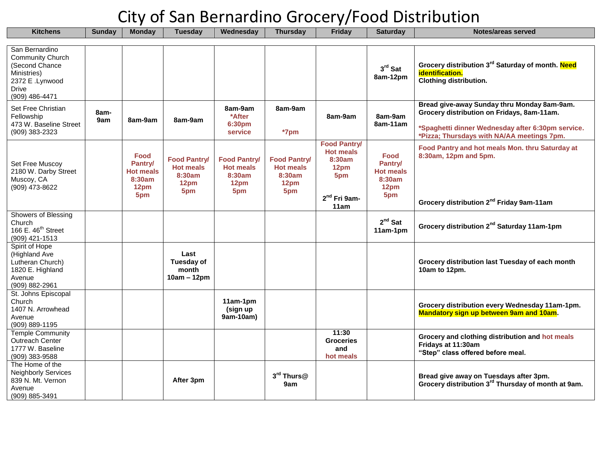| <b>Kitchens</b>                                                                                                          | <b>Sunday</b> | <b>Monday</b>                                                       | <b>Tuesday</b>                                                   | Wednesday                                                        | <b>Thursday</b>                                                  | <b>Friday</b>                                                                              | <b>Saturday</b>                                                     | Notes/areas served                                                                                                                                                                           |
|--------------------------------------------------------------------------------------------------------------------------|---------------|---------------------------------------------------------------------|------------------------------------------------------------------|------------------------------------------------------------------|------------------------------------------------------------------|--------------------------------------------------------------------------------------------|---------------------------------------------------------------------|----------------------------------------------------------------------------------------------------------------------------------------------------------------------------------------------|
| San Bernardino<br><b>Community Church</b><br>(Second Chance<br>Ministries)<br>2372 E .Lynwood<br>Drive<br>(909) 486-4471 |               |                                                                     |                                                                  |                                                                  |                                                                  |                                                                                            | $3rd$ Sat<br>8am-12pm                                               | Grocery distribution 3 <sup>rd</sup> Saturday of month. Need<br>identification.<br><b>Clothing distribution.</b>                                                                             |
| Set Free Christian<br>Fellowship<br>473 W. Baseline Street<br>(909) 383-2323                                             | 8am-<br>9am   | 8am-9am                                                             | 8am-9am                                                          | 8am-9am<br>*After<br>6:30pm<br>service                           | 8am-9am<br>*7pm                                                  | 8am-9am                                                                                    | 8am-9am<br>8am-11am                                                 | Bread give-away Sunday thru Monday 8am-9am.<br>Grocery distribution on Fridays, 8am-11am.<br>*Spaghetti dinner Wednesday after 6:30pm service.<br>*Pizza; Thursdays with NA/AA meetings 7pm. |
| Set Free Muscoy<br>2180 W. Darby Street<br>Muscoy, CA<br>(909) 473-8622                                                  |               | <b>Food</b><br>Pantry/<br><b>Hot meals</b><br>8:30am<br>12pm<br>5pm | <b>Food Pantry/</b><br><b>Hot meals</b><br>8:30am<br>12pm<br>5pm | <b>Food Pantry/</b><br><b>Hot meals</b><br>8:30am<br>12pm<br>5pm | <b>Food Pantry/</b><br><b>Hot meals</b><br>8:30am<br>12pm<br>5pm | <b>Food Pantry/</b><br><b>Hot meals</b><br>8:30am<br>12pm<br>5pm<br>$2nd$ Fri 9am-<br>11am | <b>Food</b><br>Pantry/<br><b>Hot meals</b><br>8:30am<br>12pm<br>5pm | Food Pantry and hot meals Mon. thru Saturday at<br>8:30am, 12pm and 5pm.<br>Grocery distribution 2 <sup>nd</sup> Friday 9am-11am                                                             |
| Showers of Blessing<br>Church<br>166 E. 46 <sup>th</sup> Street<br>(909) 421-1513                                        |               |                                                                     |                                                                  |                                                                  |                                                                  |                                                                                            | $2nd$ Sat<br>11am-1pm                                               | Grocery distribution 2 <sup>nd</sup> Saturday 11am-1pm                                                                                                                                       |
| Spirit of Hope<br>(Highland Ave<br>Lutheran Church)<br>1820 E. Highland<br>Avenue<br>(909) 882-2961                      |               |                                                                     | Last<br>Tuesday of<br>month<br>10am – 12pm                       |                                                                  |                                                                  |                                                                                            |                                                                     | Grocery distribution last Tuesday of each month<br>10am to 12pm.                                                                                                                             |
| St. Johns Episcopal<br>Church<br>1407 N. Arrowhead<br>Avenue<br>(909) 889-1195                                           |               |                                                                     |                                                                  | 11am-1pm<br>(sign up<br>9am-10am)                                |                                                                  |                                                                                            |                                                                     | Grocery distribution every Wednesday 11am-1pm.<br><b>Mandatory sign up between 9am and 10am.</b>                                                                                             |
| <b>Temple Community</b><br>Outreach Center<br>1777 W. Baseline<br>(909) 383-9588                                         |               |                                                                     |                                                                  |                                                                  |                                                                  | 11:30<br><b>Groceries</b><br>and<br>hot meals                                              |                                                                     | Grocery and clothing distribution and hot meals<br>Fridays at 11:30am<br>"Step" class offered before meal.                                                                                   |
| The Home of the<br><b>Neighborly Services</b><br>839 N. Mt. Vernon<br>Avenue<br>(909) 885-3491                           |               |                                                                     | After 3pm                                                        |                                                                  | 3rd Thurs@<br>9am                                                |                                                                                            |                                                                     | Bread give away on Tuesdays after 3pm.<br>Grocery distribution 3 <sup>rd</sup> Thursday of month at 9am.                                                                                     |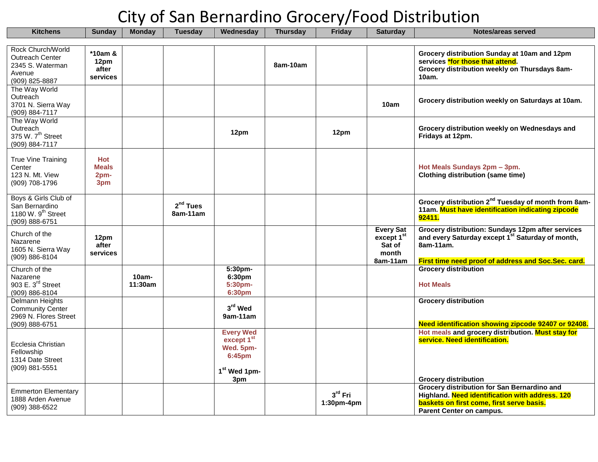| <b>Kitchens</b>                                                                              | <b>Sunday</b>                             | <b>Monday</b>       | <b>Tuesday</b>         | Wednesday                                                                                                        | <b>Thursday</b> | <b>Friday</b>         | <b>Saturday</b>                                                           | Notes/areas served                                                                                                                                                             |
|----------------------------------------------------------------------------------------------|-------------------------------------------|---------------------|------------------------|------------------------------------------------------------------------------------------------------------------|-----------------|-----------------------|---------------------------------------------------------------------------|--------------------------------------------------------------------------------------------------------------------------------------------------------------------------------|
|                                                                                              |                                           |                     |                        |                                                                                                                  |                 |                       |                                                                           |                                                                                                                                                                                |
| Rock Church/World<br><b>Outreach Center</b><br>2345 S. Waterman<br>Avenue<br>(909) 825-8887  | *10am &<br>12pm<br>after<br>services      |                     |                        |                                                                                                                  | 8am-10am        |                       |                                                                           | Grocery distribution Sunday at 10am and 12pm<br>services *for those that attend.<br>Grocery distribution weekly on Thursdays 8am-<br>10am.                                     |
| The Way World<br>Outreach<br>3701 N. Sierra Way<br>(909) 884-7117                            |                                           |                     |                        |                                                                                                                  |                 |                       | 10am                                                                      | Grocery distribution weekly on Saturdays at 10am.                                                                                                                              |
| The Way World<br>Outreach<br>375 W. 7 <sup>th</sup> Street<br>(909) 884-7117                 |                                           |                     |                        | 12pm                                                                                                             |                 | 12pm                  |                                                                           | Grocery distribution weekly on Wednesdays and<br>Fridays at 12pm.                                                                                                              |
| <b>True Vine Training</b><br>Center<br>123 N. Mt. View<br>(909) 708-1796                     | <b>Hot</b><br><b>Meals</b><br>2pm-<br>3pm |                     |                        |                                                                                                                  |                 |                       |                                                                           | Hot Meals Sundays 2pm - 3pm.<br><b>Clothing distribution (same time)</b>                                                                                                       |
| Boys & Girls Club of<br>San Bernardino<br>1180 W. $9th$ Street<br>(909) 888-6751             |                                           |                     | $2nd$ Tues<br>8am-11am |                                                                                                                  |                 |                       |                                                                           | Grocery distribution 2 <sup>nd</sup> Tuesday of month from 8am-<br>11am. Must have identification indicating zipcode<br>92411.                                                 |
| Church of the<br>Nazarene<br>1605 N. Sierra Way<br>(909) 886-8104                            | 12pm<br>after<br>services                 |                     |                        |                                                                                                                  |                 |                       | <b>Every Sat</b><br>except 1 <sup>st</sup><br>Sat of<br>month<br>8am-11am | Grocery distribution: Sundays 12pm after services<br>and every Saturday except 1st Saturday of month,<br>8am-11am.<br>First time need proof of address and Soc.Sec. card.      |
| Church of the                                                                                |                                           |                     |                        | 5:30pm-                                                                                                          |                 |                       |                                                                           | <b>Grocery distribution</b>                                                                                                                                                    |
| Nazarene<br>903 E. 3 <sup>rd</sup> Street<br>(909) 886-8104                                  |                                           | $10am -$<br>11:30am |                        | 6:30pm<br>5:30pm-<br>6:30pm                                                                                      |                 |                       |                                                                           | <b>Hot Meals</b>                                                                                                                                                               |
| <b>Delmann Heights</b><br><b>Community Center</b><br>2969 N. Flores Street<br>(909) 888-6751 |                                           |                     |                        | 3rd Wed<br>9am-11am                                                                                              |                 |                       |                                                                           | <b>Grocery distribution</b><br>Need identification showing zipcode 92407 or 92408.                                                                                             |
| Ecclesia Christian<br>Fellowship<br>1314 Date Street<br>(909) 881-5551                       |                                           |                     |                        | <b>Every Wed</b><br>except 1 <sup>st</sup><br>Wed. 5pm-<br>6:45 <sub>pm</sub><br>1 <sup>st</sup> Wed 1pm-<br>3pm |                 |                       |                                                                           | Hot meals and grocery distribution. Must stay for<br>service. Need identification.<br><b>Grocery distribution</b>                                                              |
| <b>Emmerton Elementary</b><br>1888 Arden Avenue<br>(909) 388-6522                            |                                           |                     |                        |                                                                                                                  |                 | 3rd Fri<br>1:30pm-4pm |                                                                           | Grocery distribution for San Bernardino and<br>Highland. Need identification with address. 120<br>baskets on first come, first serve basis.<br><b>Parent Center on campus.</b> |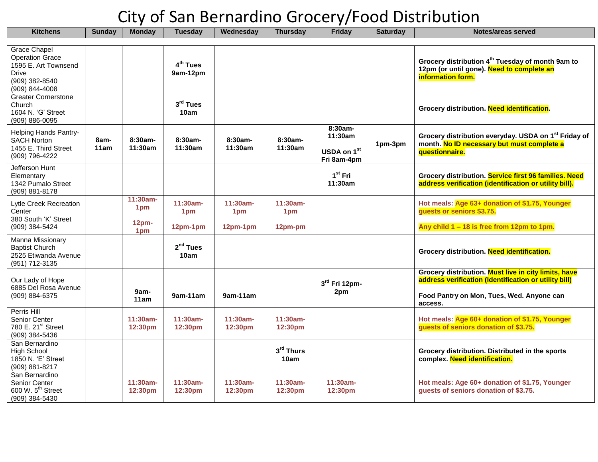| <b>Kitchens</b>                                                                     | <b>Sunday</b> | <b>Monday</b>               | <b>Tuesday</b>                   | Wednesday              | <b>Thursday</b>        | . .<br><b>Friday</b>       | <b>Saturday</b> | Notes/areas served                                                                                                             |
|-------------------------------------------------------------------------------------|---------------|-----------------------------|----------------------------------|------------------------|------------------------|----------------------------|-----------------|--------------------------------------------------------------------------------------------------------------------------------|
| <b>Grace Chapel</b><br><b>Operation Grace</b>                                       |               |                             |                                  |                        |                        |                            |                 |                                                                                                                                |
| 1595 E. Art Townsend<br>Drive<br>(909) 382-8540<br>(909) 844-4008                   |               |                             | 4 <sup>th</sup> Tues<br>9am-12pm |                        |                        |                            |                 | Grocery distribution 4 <sup>th</sup> Tuesday of month 9am to<br>12pm (or until gone). Need to complete an<br>information form. |
| <b>Greater Cornerstone</b><br>Church<br>1604 N. 'G' Street<br>(909) 886-0095        |               |                             | $3rd$ Tues<br>10am               |                        |                        |                            |                 | Grocery distribution. Need identification.                                                                                     |
| <b>Helping Hands Pantry-</b><br><b>SACH Norton</b><br>1455 E. Third Street          | 8am-<br>11am  | 8:30am-<br>11:30am          | 8:30am-<br>11:30am               | $8:30am-$<br>11:30am   | $8:30am-$<br>11:30am   | 8:30am-<br>11:30am         | 1pm-3pm         | Grocery distribution everyday. USDA on 1 <sup>st</sup> Friday of<br>month. No ID necessary but must complete a                 |
| (909) 796-4222                                                                      |               |                             |                                  |                        |                        | USDA on 1st<br>Fri 8am-4pm |                 | questionnaire.                                                                                                                 |
| Jefferson Hunt<br>Elementary<br>1342 Pumalo Street<br>(909) 881-8178                |               |                             |                                  |                        |                        | $1st$ Fri<br>11:30am       |                 | Grocery distribution. Service first 96 families. Need<br>address verification (identification or utility bill).                |
| Lytle Creek Recreation<br>Center                                                    |               | 11:30am-<br>1 <sub>pm</sub> | 11:30am-<br>1pm                  | 11:30am-<br>1pm        | 11:30am-<br>1pm        |                            |                 | Hot meals: Age 63+ donation of \$1.75, Younger<br>guests or seniors \$3.75.                                                    |
| 380 South 'K' Street<br>(909) 384-5424                                              |               | 12 <sub>pm</sub><br>1pm     | 12pm-1pm                         | 12pm-1pm               | 12pm-pm                |                            |                 | Any child 1 - 18 is free from 12pm to 1pm.                                                                                     |
| Manna Missionary<br><b>Baptist Church</b><br>2525 Etiwanda Avenue<br>(951) 712-3135 |               |                             | $2nd$ Tues<br>10am               |                        |                        |                            |                 | Grocery distribution. Need identification.                                                                                     |
| Our Lady of Hope<br>6885 Del Rosa Avenue                                            |               |                             |                                  |                        |                        | 3rd Fri 12pm-              |                 | Grocery distribution. Must live in city limits, have<br>address verification (Identification or utility bill)                  |
| (909) 884-6375                                                                      |               | 9am-<br>11am                | 9am-11am                         | 9am-11am               |                        | 2pm                        |                 | Food Pantry on Mon, Tues, Wed. Anyone can<br>access.                                                                           |
| Perris Hill<br>Senior Center<br>780 E. 21 <sup>st</sup> Street<br>(909) 384-5436    |               | 11:30am-<br>12:30pm         | $11:30am -$<br>12:30pm           | $11:30am -$<br>12:30pm | $11:30am -$<br>12:30pm |                            |                 | Hot meals: Age 60+ donation of \$1.75, Younger<br>guests of seniors donation of \$3.75.                                        |
| San Bernardino<br><b>High School</b><br>1850 N. 'E' Street<br>(909) 881-8217        |               |                             |                                  |                        | 3rd Thurs<br>10am      |                            |                 | Grocery distribution. Distributed in the sports<br>complex. Need identification.                                               |
| San Bernardino<br>Senior Center<br>600 W. 5 <sup>th</sup> Street<br>(909) 384-5430  |               | 11:30am-<br>12:30pm         | 11:30am-<br>12:30pm              | 11:30am-<br>12:30pm    | 11:30am-<br>12:30pm    | 11:30am-<br>12:30pm        |                 | Hot meals: Age 60+ donation of \$1.75, Younger<br>guests of seniors donation of \$3.75.                                        |